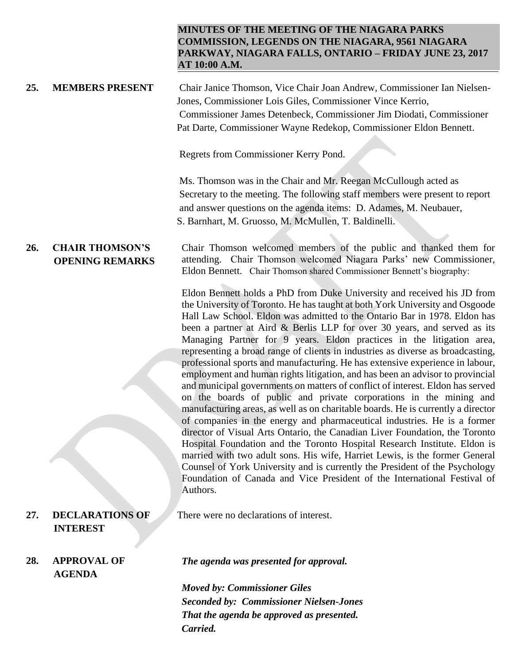## **MINUTES OF THE MEETING OF THE NIAGARA PARKS COMMISSION, LEGENDS ON THE NIAGARA, 9561 NIAGARA PARKWAY, NIAGARA FALLS, ONTARIO – FRIDAY JUNE 23, 2017 AT 10:00 A.M.**

**25. MEMBERS PRESENT** Chair Janice Thomson, Vice Chair Joan Andrew, Commissioner Ian Nielsen-Jones, Commissioner Lois Giles, Commissioner Vince Kerrio, Commissioner James Detenbeck, Commissioner Jim Diodati, Commissioner Pat Darte, Commissioner Wayne Redekop, Commissioner Eldon Bennett.

Regrets from Commissioner Kerry Pond.

Ms. Thomson was in the Chair and Mr. Reegan McCullough acted as Secretary to the meeting. The following staff members were present to report and answer questions on the agenda items: D. Adames, M. Neubauer, S. Barnhart, M. Gruosso, M. McMullen, T. Baldinelli.

## **26. CHAIR THOMSON'S OPENING REMARKS**

Chair Thomson welcomed members of the public and thanked them for attending. Chair Thomson welcomed Niagara Parks' new Commissioner, Eldon Bennett. Chair Thomson shared Commissioner Bennett's biography:

Eldon Bennett holds a PhD from Duke University and received his JD from the University of Toronto. He has taught at both York University and Osgoode Hall Law School. Eldon was admitted to the Ontario Bar in 1978. Eldon has been a partner at Aird & Berlis LLP for over 30 years, and served as its Managing Partner for 9 years. Eldon practices in the litigation area, representing a broad range of clients in industries as diverse as broadcasting, professional sports and manufacturing. He has extensive experience in labour, employment and human rights litigation, and has been an advisor to provincial and municipal governments on matters of conflict of interest. Eldon has served on the boards of public and private corporations in the mining and manufacturing areas, as well as on charitable boards. He is currently a director of companies in the energy and pharmaceutical industries. He is a former director of Visual Arts Ontario, the Canadian Liver Foundation, the Toronto Hospital Foundation and the Toronto Hospital Research Institute. Eldon is married with two adult sons. His wife, Harriet Lewis, is the former General Counsel of York University and is currently the President of the Psychology Foundation of Canada and Vice President of the International Festival of Authors.

**27. DECLARATIONS OF INTEREST**

**28. APPROVAL OF AGENDA** 

There were no declarations of interest.

*The agenda was presented for approval.*

*Moved by: Commissioner Giles Seconded by: Commissioner Nielsen-Jones That the agenda be approved as presented. Carried.*